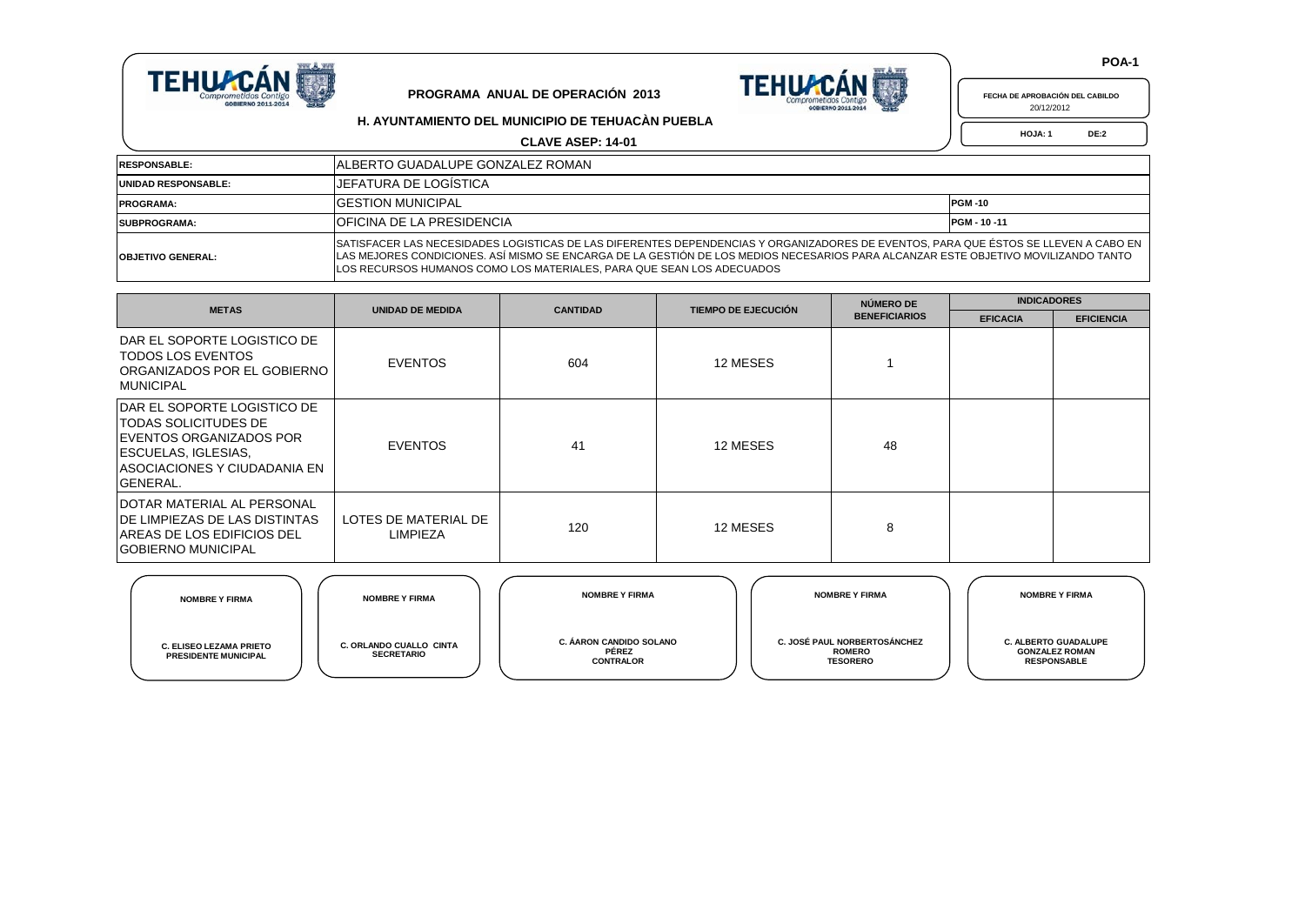



| FECHA DE APROBACIÓN DEL CABILDO |  |
|---------------------------------|--|
| 20/12/2012                      |  |

**H. AYUNTAMIENTO DEL MUNICIPIO DE TEHUACÀN PUEBLA**

**CLAVE ASEP: 14-01**

 **HOJA: 1 DE:2**

| <b>RESPONSABLE:</b>        | IALBERTO GUADALUPE GONZALEZ ROMAN                                                                                                                                                                                                                                                                                                                   |  |  |  |  |  |
|----------------------------|-----------------------------------------------------------------------------------------------------------------------------------------------------------------------------------------------------------------------------------------------------------------------------------------------------------------------------------------------------|--|--|--|--|--|
| <b>UNIDAD RESPONSABLE:</b> | <b>IJEFATURA DE LOGÍSTICA</b>                                                                                                                                                                                                                                                                                                                       |  |  |  |  |  |
| <b>PROGRAMA:</b>           | <b>IGESTION MUNICIPAL</b><br><b>PGM-10</b>                                                                                                                                                                                                                                                                                                          |  |  |  |  |  |
| <b>ISUBPROGRAMA:</b>       | <b>IOFICINA DE LA PRESIDENCIA</b><br><b>PGM - 10 -11</b>                                                                                                                                                                                                                                                                                            |  |  |  |  |  |
| <b>OBJETIVO GENERAL:</b>   | SATISFACER LAS NECESIDADES LOGISTICAS DE LAS DIFERENTES DEPENDENCIAS Y ORGANIZADORES DE EVENTOS, PARA QUE ÉSTOS SE LLEVEN A CABO EN<br>LAS MEJORES CONDICIONES. ASÍ MISMO SE ENCARGA DE LA GESTIÓN DE LOS MEDIOS NECESARIOS PARA ALCANZAR ESTE OBJETIVO MOVILIZANDO TANTO<br>ILOS RECURSOS HUMANOS COMO LOS MATERIALES, PARA QUE SEAN LOS ADECUADOS |  |  |  |  |  |

| <b>METAS</b>                                                                                                                                                                            | <b>UNIDAD DE MEDIDA</b>                 | <b>CANTIDAD</b> | <b>TIEMPO DE EJECUCIÓN</b> | NÚMERO DE            | <b>INDICADORES</b> |                   |  |
|-----------------------------------------------------------------------------------------------------------------------------------------------------------------------------------------|-----------------------------------------|-----------------|----------------------------|----------------------|--------------------|-------------------|--|
|                                                                                                                                                                                         |                                         |                 |                            | <b>BENEFICIARIOS</b> | <b>EFICACIA</b>    | <b>EFICIENCIA</b> |  |
| DAR EL SOPORTE LOGISTICO DE<br>TODOS LOS EVENTOS<br>ORGANIZADOS POR EL GOBIERNO<br><b>MUNICIPAL</b>                                                                                     | <b>EVENTOS</b>                          | 604             | 12 MESES                   |                      |                    |                   |  |
| <b>IDAR EL SOPORTE LOGISTICO DE</b><br><b>TODAS SOLICITUDES DE</b><br><b>IEVENTOS ORGANIZADOS POR</b><br><b>ESCUELAS, IGLESIAS,</b><br>IASOCIACIONES Y CIUDADANIA EN<br><b>GENERAL.</b> | <b>EVENTOS</b>                          | 41              | 12 MESES                   | 48                   |                    |                   |  |
| <b>IDOTAR MATERIAL AL PERSONAL</b><br><b>IDE LIMPIEZAS DE LAS DISTINTAS</b><br><b>IAREAS DE LOS EDIFICIOS DEL</b><br><b>IGOBIERNO MUNICIPAL</b>                                         | LOTES DE MATERIAL DE<br><b>LIMPIEZA</b> | 120             | 12 MESES                   | 8                    |                    |                   |  |

| <b>NOMBRE Y FIRMA</b>                                         | <b>NOMBRE Y FIRMA</b>                        | <b>NOMBRE Y FIRMA</b>                                | <b>NOMBRE Y FIRMA</b>                                            | <b>NOMBRE Y FIRMA</b>                                                      |
|---------------------------------------------------------------|----------------------------------------------|------------------------------------------------------|------------------------------------------------------------------|----------------------------------------------------------------------------|
| <b>C. ELISEO LEZAMA PRIETO</b><br><b>PRESIDENTE MUNICIPAL</b> | C. ORLANDO CUALLO CINTA<br><b>SECRETARIO</b> | C. ÁARON CANDIDO SOLANO<br>PÉREZ<br><b>CONTRALOR</b> | C. JOSÉ PAUL NORBERTOSÁNCHEZ<br><b>ROMERO</b><br><b>TESORERO</b> | <b>C. ALBERTO GUADALUPE</b><br><b>GONZALEZ ROMAN</b><br><b>RESPONSABLE</b> |